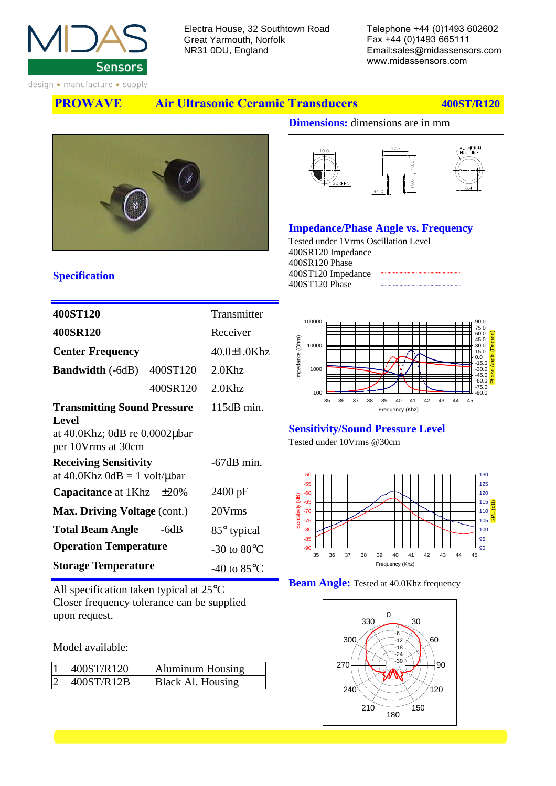

NR31 0DU, England

Email:sales@midassensors.com www.midassensors.com

design • manufacture • supply

**PROWAVE Air Ultrasonic Ceramic Transducers 400ST/R120** 



### **Dimensions:** dimensions are in mm



#### **Impedance/Phase Angle vs. Frequency**

Tested under 1Vrms Oscillation Level 400SR120 Impedance 400SR120 Phase 400ST120 Impedance 400ST120 Phase



| 400ST120                                                                                                                                       | Transmitter           |
|------------------------------------------------------------------------------------------------------------------------------------------------|-----------------------|
| 400SR120                                                                                                                                       | Receiver              |
| <b>Center Frequency</b>                                                                                                                        | $40.0 \pm 1.0$ Khz    |
| 400ST120<br><b>Bandwidth</b> (-6dB)                                                                                                            | 2.0Khz                |
| 400SR120                                                                                                                                       | $2.0$ Khz             |
| <b>Transmitting Sound Pressure</b>                                                                                                             | $115dB$ min.          |
| Level<br>at $40.0$ Khz; 0dB re $0.0002$ µbar<br>per 10Vrms at 30cm<br><b>Receiving Sensitivity</b><br>at $40.0$ Khz $0$ dB = 1 volt/ $\mu$ bar | -67dB min.            |
| <b>Capacitance</b> at $1Khz \pm 20\%$                                                                                                          | 2400 pF               |
| <b>Max. Driving Voltage (cont.)</b>                                                                                                            | 20Vrms                |
| <b>Total Beam Angle</b><br>$-6dB$                                                                                                              | 85° typical           |
| <b>Operation Temperature</b>                                                                                                                   | -30 to $80^{\circ}$ C |
| <b>Storage Temperature</b>                                                                                                                     | -40 to $85^{\circ}$ C |

All specification taken typical at 25°C Closer frequency tolerance can be supplied upon request.

Model available:

|                | 400ST/R120 | Aluminum Housing  |
|----------------|------------|-------------------|
| $\overline{2}$ | 400ST/R12B | Black Al. Housing |



# **Sensitivity/Sound Pressure Level**

Tested under 10Vrms @30cm